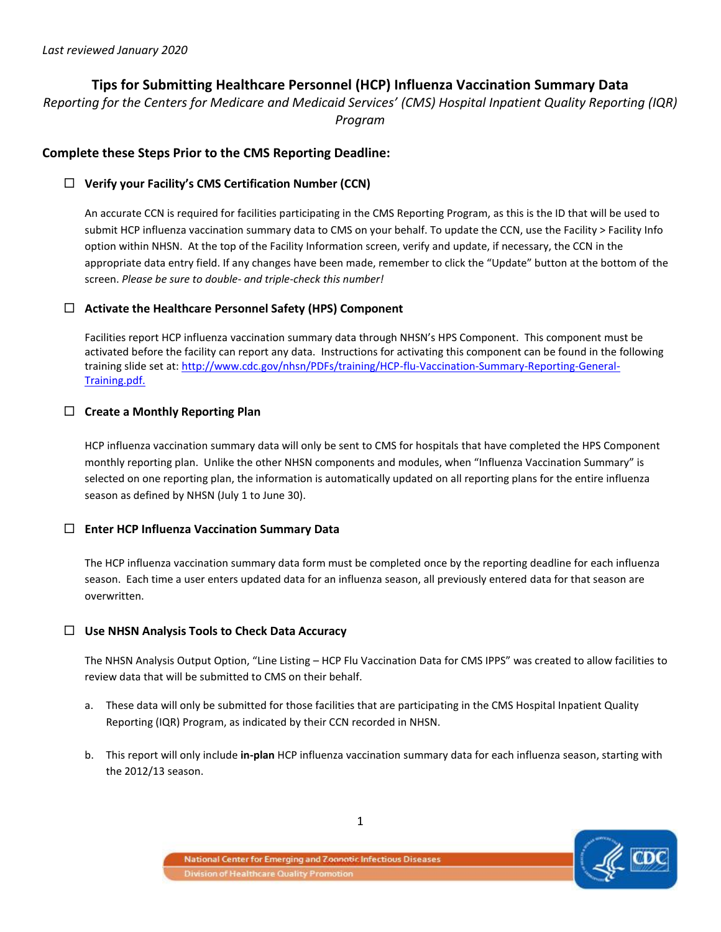# **Tips for Submitting Healthcare Personnel (HCP) Influenza Vaccination Summary Data**

*Reporting for the Centers for Medicare and Medicaid Services' (CMS) Hospital Inpatient Quality Reporting (IQR) Program*

### **Complete these Steps Prior to the CMS Reporting Deadline:**

#### **Verify your Facility's CMS Certification Number (CCN)**

An accurate CCN is required for facilities participating in the CMS Reporting Program, as this is the ID that will be used to submit HCP influenza vaccination summary data to CMS on your behalf. To update the CCN, use the Facility > Facility Info option within NHSN. At the top of the Facility Information screen, verify and update, if necessary, the CCN in the appropriate data entry field. If any changes have been made, remember to click the "Update" button at the bottom of the screen. *Please be sure to double- and triple-check this number!* 

#### **Activate the Healthcare Personnel Safety (HPS) Component**

Facilities report HCP influenza vaccination summary data through NHSN's HPS Component. This component must be activated before the facility can report any data. Instructions for activating this component can be found in the following training slide set at[: http://www.cdc.gov/nhsn/PDFs/training/HCP-flu-Vaccination-Summary-Reporting-General-](http://www.cdc.gov/nhsn/PDFs/training/HCP-flu-Vaccination-Summary-Reporting-General-Training.pdf)[Training.pdf.](http://www.cdc.gov/nhsn/PDFs/training/HCP-flu-Vaccination-Summary-Reporting-General-Training.pdf)

### **Create a Monthly Reporting Plan**

HCP influenza vaccination summary data will only be sent to CMS for hospitals that have completed the HPS Component monthly reporting plan. Unlike the other NHSN components and modules, when "Influenza Vaccination Summary" is selected on one reporting plan, the information is automatically updated on all reporting plans for the entire influenza season as defined by NHSN (July 1 to June 30).

#### **Enter HCP Influenza Vaccination Summary Data**

The HCP influenza vaccination summary data form must be completed once by the reporting deadline for each influenza season. Each time a user enters updated data for an influenza season, all previously entered data for that season are overwritten.

#### **Use NHSN Analysis Tools to Check Data Accuracy**

The NHSN Analysis Output Option, "Line Listing – HCP Flu Vaccination Data for CMS IPPS" was created to allow facilities to review data that will be submitted to CMS on their behalf.

- a. These data will only be submitted for those facilities that are participating in the CMS Hospital Inpatient Quality Reporting (IQR) Program, as indicated by their CCN recorded in NHSN.
- b. This report will only include **in-plan** HCP influenza vaccination summary data for each influenza season, starting with the 2012/13 season.

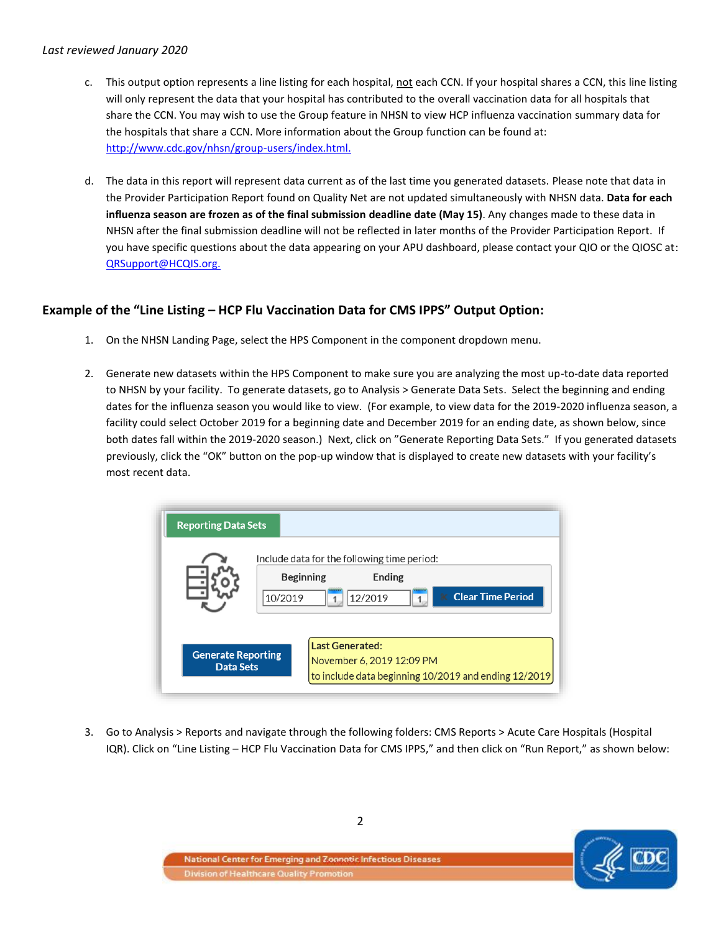#### *Last reviewed January 2020*

- c. This output option represents a line listing for each hospital, not each CCN. If your hospital shares a CCN, this line listing will only represent the data that your hospital has contributed to the overall vaccination data for all hospitals that share the CCN. You may wish to use the Group feature in NHSN to view HCP influenza vaccination summary data for the hospitals that share a CCN. More information about the Group function can be found at: [http://www.cdc.gov/nhsn/group-users/index.html.](http://www.cdc.gov/nhsn/group-users/index.html)
- d. The data in this report will represent data current as of the last time you generated datasets. Please note that data in the Provider Participation Report found on Quality Net are not updated simultaneously with NHSN data. **Data for each influenza season are frozen as of the final submission deadline date (May 15)**. Any changes made to these data in NHSN after the final submission deadline will not be reflected in later months of the Provider Participation Report. If you have specific questions about the data appearing on your APU dashboard, please contact your QIO or the QIOSC at: [QRSupport@HCQIS.org.](mailto:QRSupport@HCQIS.org)

## **Example of the "Line Listing – HCP Flu Vaccination Data for CMS IPPS" Output Option:**

- 1. On the NHSN Landing Page, select the HPS Component in the component dropdown menu.
- 2. Generate new datasets within the HPS Component to make sure you are analyzing the most up-to-date data reported to NHSN by your facility. To generate datasets, go to Analysis > Generate Data Sets. Select the beginning and ending dates for the influenza season you would like to view. (For example, to view data for the 2019-2020 influenza season, a facility could select October 2019 for a beginning date and December 2019 for an ending date, as shown below, since both dates fall within the 2019-2020 season.) Next, click on "Generate Reporting Data Sets." If you generated datasets previously, click the "OK" button on the pop-up window that is displayed to create new datasets with your facility's most recent data.



3. Go to Analysis > Reports and navigate through the following folders: CMS Reports > Acute Care Hospitals (Hospital IQR). Click on "Line Listing – HCP Flu Vaccination Data for CMS IPPS," and then click on "Run Report," as shown below:

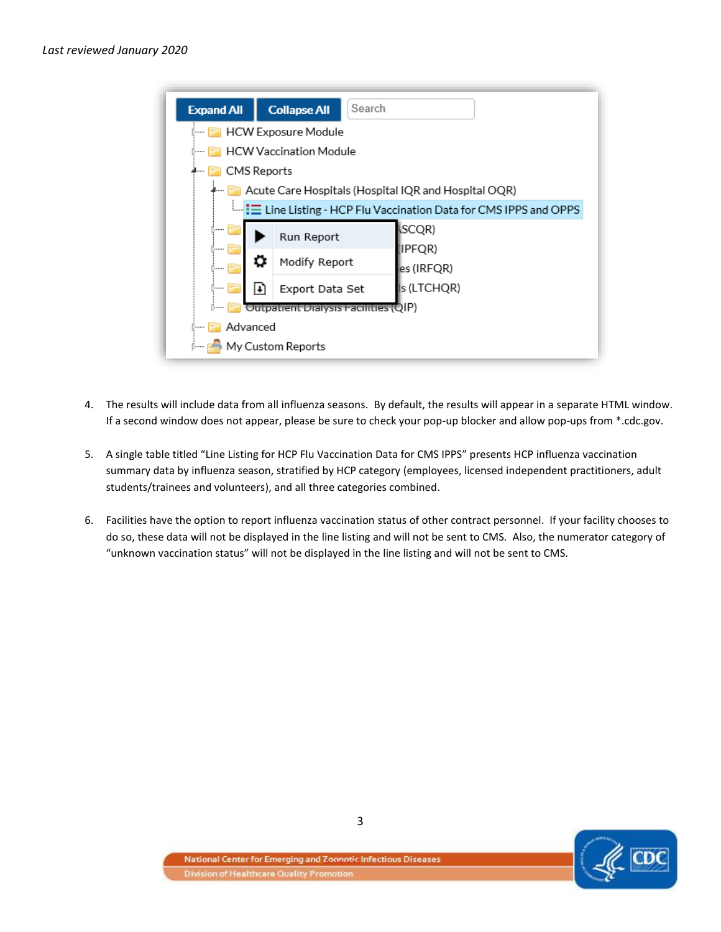

- 4. The results will include data from all influenza seasons. By default, the results will appear in a separate HTML window. If a second window does not appear, please be sure to check your pop-up blocker and allow pop-ups from \*.cdc.gov.
- 5. A single table titled "Line Listing for HCP Flu Vaccination Data for CMS IPPS" presents HCP influenza vaccination summary data by influenza season, stratified by HCP category (employees, licensed independent practitioners, adult students/trainees and volunteers), and all three categories combined.
- 6. Facilities have the option to report influenza vaccination status of other contract personnel. If your facility chooses to do so, these data will not be displayed in the line listing and will not be sent to CMS. Also, the numerator category of "unknown vaccination status" will not be displayed in the line listing and will not be sent to CMS.

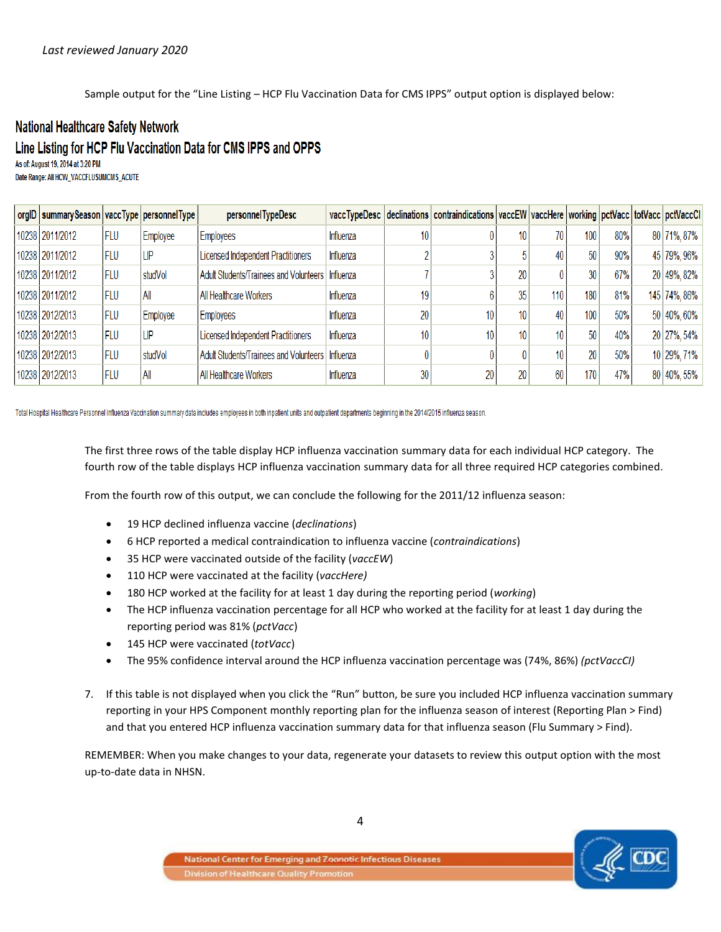Sample output for the "Line Listing – HCP Flu Vaccination Data for CMS IPPS" output option is displayed below:

# **National Healthcare Safety Network**

# Line Listing for HCP Flu Vaccination Data for CMS IPPS and OPPS

As of: August 19, 2014 at 3:20 PM Date Range: All HCW\_VACCFLUSUMCMS\_ACUTE

| orgID   summary Season   vacc Type   personnel Type |     |                 | personnel TypeDesc                                 |           |    | vaccTypeDesc  declinations   contraindications   vaccEW   vaccHere   working   pctVacc   totVacc   pctVaccCl |    |     |     |     |              |
|-----------------------------------------------------|-----|-----------------|----------------------------------------------------|-----------|----|--------------------------------------------------------------------------------------------------------------|----|-----|-----|-----|--------------|
| 10238 2011/2012                                     | FLU | <b>Employee</b> | Employees                                          | Influenza |    |                                                                                                              | 10 | 70  | 100 | 80% | 80 71%, 87%  |
| 10238 2011/2012                                     | FLU | ∣LIP            | Licensed Independent Practitioners                 | Influenza |    |                                                                                                              |    | 40  | 50  | 90% | 45 79%, 96%  |
| 10238 2011/2012                                     | FLU | studVol         | Adult Students/Trainees and Volunteers   Influenza |           |    |                                                                                                              | 20 |     | 30  | 67% | 20 49%, 82%  |
| 10238 2011/2012                                     | FLU | All             | All Healthcare Workers                             | Influenza | 19 |                                                                                                              | 35 | 110 | 180 | 81% | 145 74%, 86% |
| 10238 2012/2013                                     | FLU | Employee        | Employees                                          | Influenza | 20 | 10                                                                                                           | 10 | 40  | 100 | 50% | 50 40%, 60%  |
| 10238 2012/2013                                     | FLU | ∣LIP            | Licensed Independent Practitioners                 | Influenza | 10 | 10 <sub>1</sub>                                                                                              | 10 | 10  | 50  | 40% | 20 27%, 54%  |
| 10238 2012/2013                                     | FLU | studVol         | Adult Students/Trainees and Volunteers   Influenza |           |    |                                                                                                              |    | 10  | 20  | 50% | 10 29%, 71%  |
| 10238 2012/2013                                     | FLU | All             | All Healthcare Workers                             | Influenza | 30 | 20                                                                                                           | 20 | 60  | 170 | 47% | 80 40%, 55%  |

Total Hospital Healthcare Personnel Influenza Vaccination summary data includes employees in both inpatient units and outpatient departments beginning in the 2014/2015 influenza season.

The first three rows of the table display HCP influenza vaccination summary data for each individual HCP category. The fourth row of the table displays HCP influenza vaccination summary data for all three required HCP categories combined.

From the fourth row of this output, we can conclude the following for the 2011/12 influenza season:

- 19 HCP declined influenza vaccine (*declinations*)
- 6 HCP reported a medical contraindication to influenza vaccine (*contraindications*)
- 35 HCP were vaccinated outside of the facility (*vaccEW*)
- 110 HCP were vaccinated at the facility (*vaccHere)*
- 180 HCP worked at the facility for at least 1 day during the reporting period (*working*)
- The HCP influenza vaccination percentage for all HCP who worked at the facility for at least 1 day during the reporting period was 81% (*pctVacc*)
- 145 HCP were vaccinated (*totVacc*)
- The 95% confidence interval around the HCP influenza vaccination percentage was (74%, 86%) *(pctVaccCI)*
- 7. If this table is not displayed when you click the "Run" button, be sure you included HCP influenza vaccination summary reporting in your HPS Component monthly reporting plan for the influenza season of interest (Reporting Plan > Find) and that you entered HCP influenza vaccination summary data for that influenza season (Flu Summary > Find).

REMEMBER: When you make changes to your data, regenerate your datasets to review this output option with the most up-to-date data in NHSN.